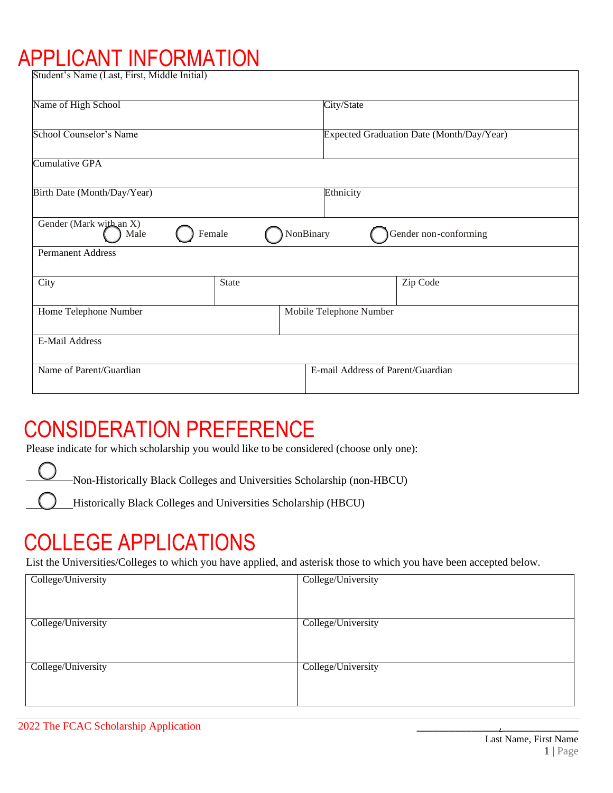# APPLICANT INFORMATION

| Student's Name (Last, First, Middle Initial) |              |                         |                                           |                                   |  |
|----------------------------------------------|--------------|-------------------------|-------------------------------------------|-----------------------------------|--|
| Name of High School                          |              |                         | City/State                                |                                   |  |
| School Counselor's Name                      |              |                         | Expected Graduation Date (Month/Day/Year) |                                   |  |
| Cumulative GPA                               |              |                         |                                           |                                   |  |
| Birth Date (Month/Day/Year)                  |              | Ethnicity               |                                           |                                   |  |
| Gender (Mark with an X)<br>Male              | Female       | NonBinary               |                                           | Gender non-conforming             |  |
| <b>Permanent Address</b>                     |              |                         |                                           |                                   |  |
| City                                         | <b>State</b> |                         |                                           | Zip Code                          |  |
| Home Telephone Number                        |              | Mobile Telephone Number |                                           |                                   |  |
| E-Mail Address                               |              |                         |                                           |                                   |  |
| Name of Parent/Guardian                      |              |                         |                                           | E-mail Address of Parent/Guardian |  |

### CONSIDERATION PREFERENCE

Please indicate for which scholarship you would like to be considered (choose only one):

Non-Historically Black Colleges and Universities Scholarship (non-HBCU)

Historically Black Colleges and Universities Scholarship (HBCU)

### COLLEGE APPLICATIONS

List the Universities/Colleges to which you have applied, and asterisk those to which you have been accepted below.

| College/University | College/University |
|--------------------|--------------------|
| College/University | College/University |
| College/University | College/University |
|                    |                    |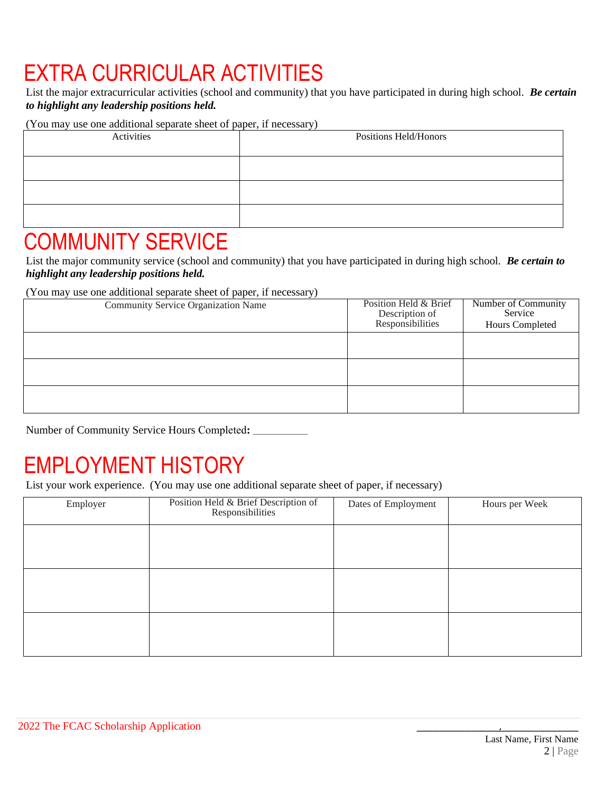# EXTRA CURRICULAR ACTIVITIES

List the major extracurricular activities (school and community) that you have participated in during high school. *Be certain to highlight any leadership positions held.* 

(You may use one additional separate sheet of paper, if necessary)

| Activities | Positions Held/Honors |
|------------|-----------------------|
|            |                       |
|            |                       |
|            |                       |

#### COMMUNITY SERVICE

List the major community service (school and community) that you have participated in during high school. *Be certain to highlight any leadership positions held.*

(You may use one additional separate sheet of paper, if necessary)

| Community Service Organization Name | Position Held & Brief<br>Description of<br>Responsibilities | Number of Community<br>Service<br>Hours Completed |
|-------------------------------------|-------------------------------------------------------------|---------------------------------------------------|
|                                     |                                                             |                                                   |
|                                     |                                                             |                                                   |
|                                     |                                                             |                                                   |

Number of Community Service Hours Completed**: \_\_\_\_\_\_\_\_\_\_\_**

## EMPLOYMENT HISTORY

List your work experience. (You may use one additional separate sheet of paper, if necessary)

| Employer | Position Held & Brief Description of<br>Responsibilities | Dates of Employment | Hours per Week |
|----------|----------------------------------------------------------|---------------------|----------------|
|          |                                                          |                     |                |
|          |                                                          |                     |                |
|          |                                                          |                     |                |
|          |                                                          |                     |                |
|          |                                                          |                     |                |
|          |                                                          |                     |                |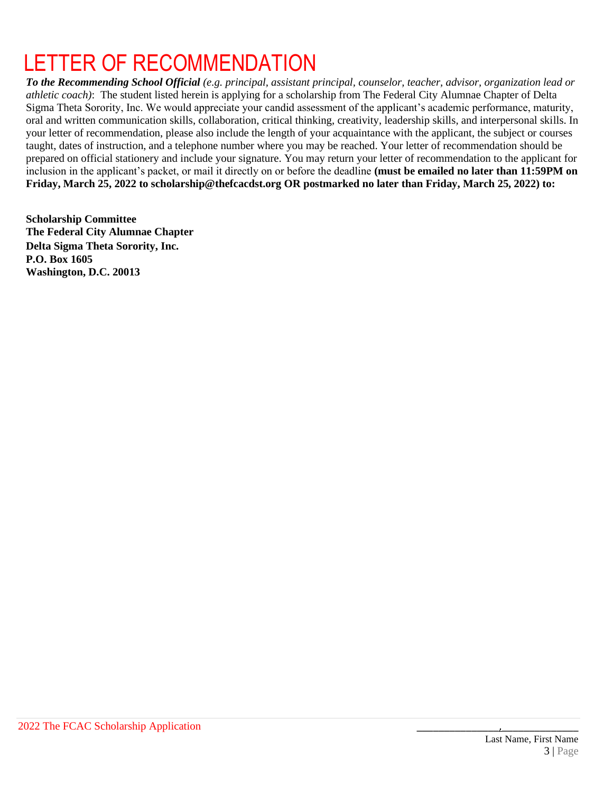# LETTER OF RECOMMENDATION

*To the Recommending School Official (e.g. principal, assistant principal, counselor, teacher, advisor, organization lead or athletic coach)*: The student listed herein is applying for a scholarship from The Federal City Alumnae Chapter of Delta Sigma Theta Sorority, Inc. We would appreciate your candid assessment of the applicant's academic performance, maturity, oral and written communication skills, collaboration, critical thinking, creativity, leadership skills, and interpersonal skills. In your letter of recommendation, please also include the length of your acquaintance with the applicant, the subject or courses taught, dates of instruction, and a telephone number where you may be reached. Your letter of recommendation should be prepared on official stationery and include your signature. You may return your letter of recommendation to the applicant for inclusion in the applicant's packet, or mail it directly on or before the deadline **(must be emailed no later than 11:59PM on Friday, March 25, 2022 to scholarship@thefcacdst.org OR postmarked no later than Friday, March 25, 2022) to:**

**Scholarship Committee The Federal City Alumnae Chapter Delta Sigma Theta Sorority, Inc. P.O. Box 1605 Washington, D.C. 20013**